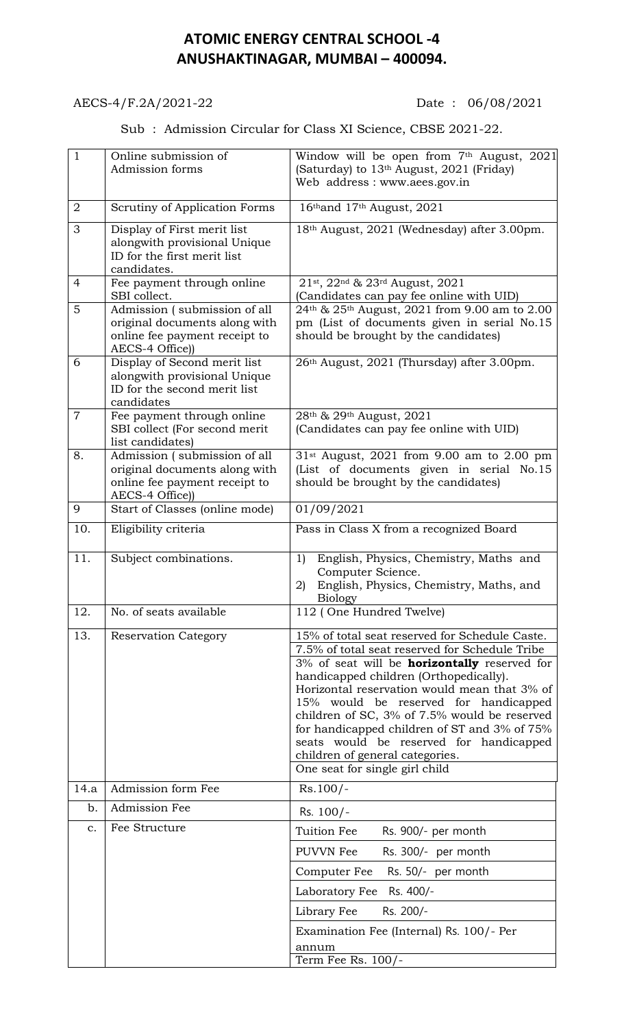## **ATOMIC ENERGY CENTRAL SCHOOL -4 ANUSHAKTINAGAR, MUMBAI – 400094.**

## AECS-4/F.2A/2021-22 Date: 06/08/2021

## Sub : Admission Circular for Class XI Science, CBSE 2021-22.

| $\mathbf{1}$   | Online submission of<br>Admission forms                                                                           | Window will be open from 7th August, 2021<br>(Saturday) to 13 <sup>th</sup> August, 2021 (Friday)<br>Web address: www.aees.gov.in                                                                                                                                                                                                                                                                                                                                                                          |
|----------------|-------------------------------------------------------------------------------------------------------------------|------------------------------------------------------------------------------------------------------------------------------------------------------------------------------------------------------------------------------------------------------------------------------------------------------------------------------------------------------------------------------------------------------------------------------------------------------------------------------------------------------------|
| 2              | Scrutiny of Application Forms                                                                                     | 16th and 17th August, 2021                                                                                                                                                                                                                                                                                                                                                                                                                                                                                 |
| 3              | Display of First merit list<br>alongwith provisional Unique<br>ID for the first merit list<br>candidates.         | 18th August, 2021 (Wednesday) after 3.00pm.                                                                                                                                                                                                                                                                                                                                                                                                                                                                |
| 4              | Fee payment through online<br>SBI collect.                                                                        | 21st, 22nd & 23rd August, 2021<br>(Candidates can pay fee online with UID)                                                                                                                                                                                                                                                                                                                                                                                                                                 |
| 5              | Admission (submission of all<br>original documents along with<br>online fee payment receipt to<br>AECS-4 Office)) | 24th & 25th August, 2021 from 9.00 am to 2.00<br>pm (List of documents given in serial No.15<br>should be brought by the candidates)                                                                                                                                                                                                                                                                                                                                                                       |
| 6              | Display of Second merit list<br>alongwith provisional Unique<br>ID for the second merit list<br>candidates        | 26th August, 2021 (Thursday) after 3.00pm.                                                                                                                                                                                                                                                                                                                                                                                                                                                                 |
| $\overline{7}$ | Fee payment through online<br>SBI collect (For second merit<br>list candidates)                                   | 28 <sup>th</sup> & 29 <sup>th</sup> August, 2021<br>(Candidates can pay fee online with UID)                                                                                                                                                                                                                                                                                                                                                                                                               |
| 8.             | Admission (submission of all<br>original documents along with<br>online fee payment receipt to<br>AECS-4 Office)) | $31$ <sup>st</sup> August, 2021 from 9.00 am to 2.00 pm<br>(List of documents given in serial No.15<br>should be brought by the candidates)                                                                                                                                                                                                                                                                                                                                                                |
| 9              | Start of Classes (online mode)                                                                                    | 01/09/2021                                                                                                                                                                                                                                                                                                                                                                                                                                                                                                 |
| 10.            | Eligibility criteria                                                                                              | Pass in Class X from a recognized Board                                                                                                                                                                                                                                                                                                                                                                                                                                                                    |
| 11.            | Subject combinations.                                                                                             | English, Physics, Chemistry, Maths and<br>1)<br>Computer Science.<br>English, Physics, Chemistry, Maths, and<br>2)<br><b>Biology</b>                                                                                                                                                                                                                                                                                                                                                                       |
| 12.            | No. of seats available                                                                                            | 112 (One Hundred Twelve)                                                                                                                                                                                                                                                                                                                                                                                                                                                                                   |
| 13.            | <b>Reservation Category</b>                                                                                       | 15% of total seat reserved for Schedule Caste.<br>7.5% of total seat reserved for Schedule Tribe<br>3% of seat will be <b>horizontally</b> reserved for<br>handicapped children (Orthopedically).<br>Horizontal reservation would mean that 3% of<br>15% would be reserved for handicapped<br>children of SC, 3% of 7.5% would be reserved<br>for handicapped children of ST and 3% of 75%<br>seats would be reserved for handicapped<br>children of general categories.<br>One seat for single girl child |
| 14.a           | Admission form Fee                                                                                                | $Rs.100/-$                                                                                                                                                                                                                                                                                                                                                                                                                                                                                                 |
| b.             | Admission Fee                                                                                                     | Rs. 100/-                                                                                                                                                                                                                                                                                                                                                                                                                                                                                                  |
| c.             | Fee Structure                                                                                                     | Tuition Fee<br>Rs. 900/- per month                                                                                                                                                                                                                                                                                                                                                                                                                                                                         |
|                |                                                                                                                   | PUVVN Fee<br>Rs. 300/- per month                                                                                                                                                                                                                                                                                                                                                                                                                                                                           |
|                |                                                                                                                   | Computer Fee<br>Rs. 50/- per month                                                                                                                                                                                                                                                                                                                                                                                                                                                                         |
|                |                                                                                                                   | Rs. 400/-<br>Laboratory Fee                                                                                                                                                                                                                                                                                                                                                                                                                                                                                |
|                |                                                                                                                   | Rs. 200/-<br>Library Fee                                                                                                                                                                                                                                                                                                                                                                                                                                                                                   |
|                |                                                                                                                   | Examination Fee (Internal) Rs. 100/- Per                                                                                                                                                                                                                                                                                                                                                                                                                                                                   |
|                |                                                                                                                   | annum<br>Term Fee Rs. 100/-                                                                                                                                                                                                                                                                                                                                                                                                                                                                                |